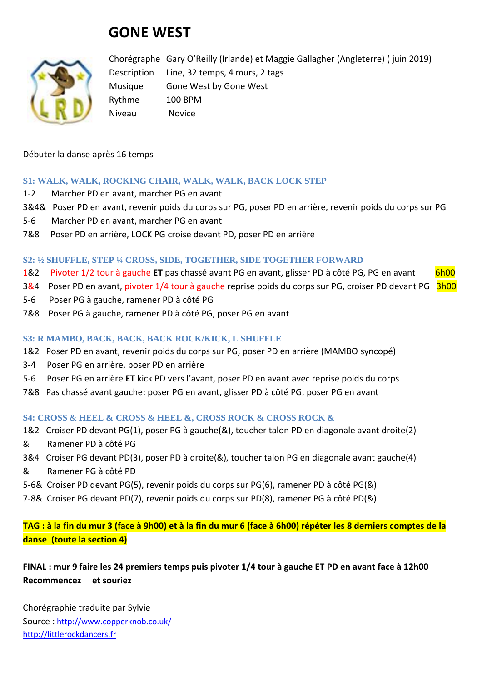# **GONE WEST**



Chorégraphe Gary O'Reilly (Irlande) et Maggie Gallagher (Angleterre) ( juin 2019) Description Line, 32 temps, 4 murs, 2 tags Musique Gone West by Gone West Rythme 100 BPM Niveau Novice

Débuter la danse après 16 temps

#### **S1: WALK, WALK, ROCKING CHAIR, WALK, WALK, BACK LOCK STEP**

- 1-2 Marcher PD en avant, marcher PG en avant
- 3&4& Poser PD en avant, revenir poids du corps sur PG, poser PD en arrière, revenir poids du corps sur PG
- 5-6 Marcher PD en avant, marcher PG en avant
- 7&8 Poser PD en arrière, LOCK PG croisé devant PD, poser PD en arrière

#### **S2: ½ SHUFFLE, STEP ¼ CROSS, SIDE, TOGETHER, SIDE TOGETHER FORWARD**

- 1&2 Pivoter 1/2 tour à gauche **ET** pas chassé avant PG en avant, glisser PD à côté PG, PG en avant 6h00
- 3&4 Poser PD en avant, pivoter 1/4 tour à gauche reprise poids du corps sur PG, croiser PD devant PG 3h00
- 5-6 Poser PG à gauche, ramener PD à côté PG
- 7&8 Poser PG à gauche, ramener PD à côté PG, poser PG en avant

## **S3: R MAMBO, BACK, BACK, BACK ROCK/KICK, L SHUFFLE**

- 1&2 Poser PD en avant, revenir poids du corps sur PG, poser PD en arrière (MAMBO syncopé)
- 3-4 Poser PG en arrière, poser PD en arrière
- 5-6 Poser PG en arrière **ET** kick PD vers l'avant, poser PD en avant avec reprise poids du corps
- 7&8 Pas chassé avant gauche: poser PG en avant, glisser PD à côté PG, poser PG en avant

#### **S4: CROSS & HEEL & CROSS & HEEL &, CROSS ROCK & CROSS ROCK &**

- 1&2 Croiser PD devant PG(1), poser PG à gauche(&), toucher talon PD en diagonale avant droite(2)
- & Ramener PD à côté PG
- 3&4 Croiser PG devant PD(3), poser PD à droite(&), toucher talon PG en diagonale avant gauche(4)
- & Ramener PG à côté PD
- 5-6& Croiser PD devant PG(5), revenir poids du corps sur PG(6), ramener PD à côté PG(&)
- 7-8& Croiser PG devant PD(7), revenir poids du corps sur PD(8), ramener PG à côté PD(&)

**TAG : à la fin du mur 3 (face à 9h00) et à la fin du mur 6 (face à 6h00) répéter les 8 derniers comptes de la danse (toute la section 4)**

# **FINAL : mur 9 faire les 24 premiers temps puis pivoter 1/4 tour à gauche ET PD en avant face à 12h00 Recommencez et souriez**

Chorégraphie traduite par Sylvie Source : [http://www.copperknob.co.uk/](https://www.copperknob.co.uk/)  [http://littlerockdancers.fr](http://littlerockdancers.fr/)